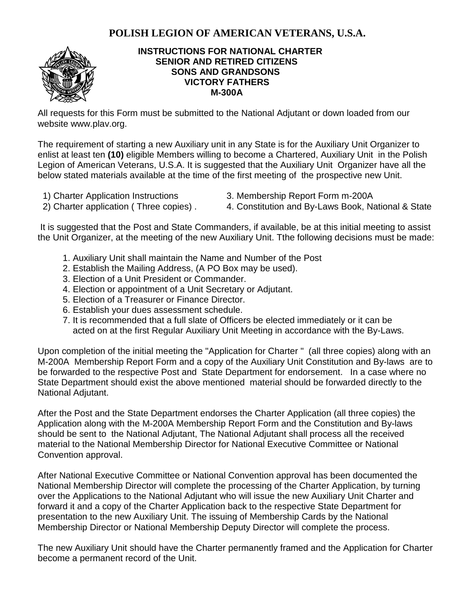## **POLISH LEGION OF AMERICAN VETERANS, U.S.A.**



## **INSTRUCTIONS FOR NATIONAL CHARTER SENIOR AND RETIRED CITIZENS SONS AND GRANDSONS VICTORY FATHERS M-300A**

All requests for this Form must be submitted to the National Adjutant or down loaded from our website www.plav.org.

The requirement of starting a new Auxiliary unit in any State is for the Auxiliary Unit Organizer to enlist at least ten **(10)** eligible Members willing to become a Chartered, Auxiliary Unit in the Polish Legion of American Veterans, U.S.A. It is suggested that the Auxiliary Unit Organizer have all the below stated materials available at the time of the first meeting of the prospective new Unit.

- 
- 1) Charter Application Instructions 3. Membership Report Form m-200A
- 2) Charter application (Three copies) . 4. Constitution and By-Laws Book, National & State
- 

It is suggested that the Post and State Commanders, if available, be at this initial meeting to assist the Unit Organizer, at the meeting of the new Auxiliary Unit. Tthe following decisions must be made:

- 1. Auxiliary Unit shall maintain the Name and Number of the Post
- 2. Establish the Mailing Address, (A PO Box may be used).
- 3. Election of a Unit President or Commander.
- 4. Election or appointment of a Unit Secretary or Adjutant.
- 5. Election of a Treasurer or Finance Director.
- 6. Establish your dues assessment schedule.
- 7. It is recommended that a full slate of Officers be elected immediately or it can be acted on at the first Regular Auxiliary Unit Meeting in accordance with the By-Laws.

Upon completion of the initial meeting the "Application for Charter " (all three copies) along with an M-200A Membership Report Form and a copy of the Auxiliary Unit Constitution and By-laws are to be forwarded to the respective Post and State Department for endorsement. In a case where no State Department should exist the above mentioned material should be forwarded directly to the National Adjutant.

After the Post and the State Department endorses the Charter Application (all three copies) the Application along with the M-200A Membership Report Form and the Constitution and By-laws should be sent to the National Adjutant, The National Adjutant shall process all the received material to the National Membership Director for National Executive Committee or National Convention approval.

After National Executive Committee or National Convention approval has been documented the National Membership Director will complete the processing of the Charter Application, by turning over the Applications to the National Adjutant who will issue the new Auxiliary Unit Charter and forward it and a copy of the Charter Application back to the respective State Department for presentation to the new Auxiliary Unit. The issuing of Membership Cards by the National Membership Director or National Membership Deputy Director will complete the process.

The new Auxiliary Unit should have the Charter permanently framed and the Application for Charter become a permanent record of the Unit.